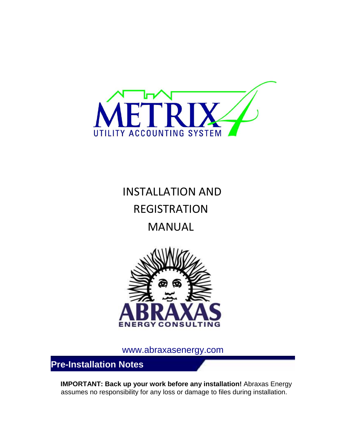

# INSTALLATION AND REGISTRATION MANUAL



www.abraxasenergy.com

**Pre-Installation Notes** 

**IMPORTANT: Back up your work before any installation!** Abraxas Energy assumes no responsibility for any loss or damage to files during installation.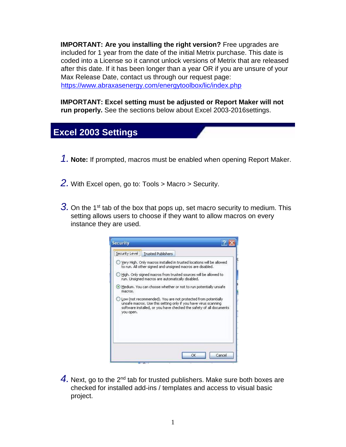**IMPORTANT: Are you installing the right version?** Free upgrades are included for 1 year from the date of the initial Metrix purchase. This date is coded into a License so it cannot unlock versions of Metrix that are released after this date. If it has been longer than a year OR if you are unsure of your Max Release Date, contact us through our request page: https://www.abraxasenergy.com/energytoolbox/lic/index.php

**IMPORTANT: Excel setting must be adjusted or Report Maker will not run properly.** See the sections below about Excel 2003-2016settings.

#### **Excel 2003 Settings**

- *1.* **Note:** If prompted, macros must be enabled when opening Report Maker.
- *2.* With Excel open, go to: Tools > Macro > Security.
- **3.** On the 1<sup>st</sup> tab of the box that pops up, set macro security to medium. This setting allows users to choose if they want to allow macros on every instance they are used.



4. Next, go to the 2<sup>nd</sup> tab for trusted publishers. Make sure both boxes are checked for installed add-ins / templates and access to visual basic project.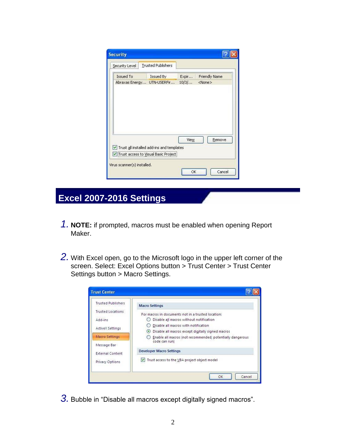| Security Level   | <b>Trusted Publishers</b>                                                         |             |                      |
|------------------|-----------------------------------------------------------------------------------|-------------|----------------------|
| <b>Issued To</b> | Issued By                                                                         | Expir       | <b>Friendly Name</b> |
|                  | Abraxas Energy UTN-USERFir                                                        | 10/3/       | $<$ None $>$         |
|                  |                                                                                   |             |                      |
|                  | Trust all installed add-ins and templates<br>Trust access to Visual Basic Project | <b>View</b> | <b>Remove</b>        |

## **Excel 2007-2016 Settings**

- *1.* **NOTE:** if prompted, macros must be enabled when opening Report Maker.
- *2.* With Excel open, go to the Microsoft logo in the upper left corner of the screen. Select: Excel Options button > Trust Center > Trust Center Settings button > Macro Settings.

| <b>Trusted Publishers</b> | <b>Macro Settings</b>                                     |  |  |  |
|---------------------------|-----------------------------------------------------------|--|--|--|
| <b>Trusted Locations</b>  | For macros in documents not in a trusted location:        |  |  |  |
| Add-ins                   | Disable all macros without notification                   |  |  |  |
|                           | Disable all macros with notification                      |  |  |  |
| ActiveX Settings          | Disable all macros except digitally signed macros         |  |  |  |
| Macro Settings            | Enable all macros (not recommended; potentially dangerous |  |  |  |
| Message Bar               | code can run)                                             |  |  |  |
| <b>External Content</b>   | <b>Developer Macro Settings</b>                           |  |  |  |
| Privacy Options           | Trust access to the VBA project object model<br>M         |  |  |  |

*3.* Bubble in "Disable all macros except digitally signed macros".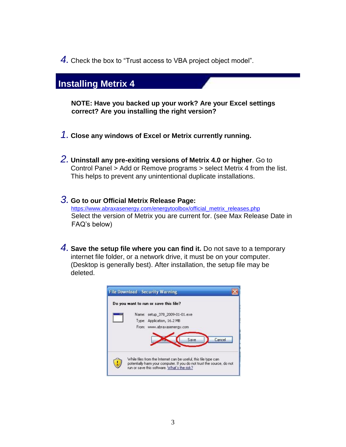*4.* Check the box to "Trust access to VBA project object model".

#### **Installing Metrix 4**

**NOTE: Have you backed up your work? Are your Excel settings correct? Are you installing the right version?** 

- *1.* **Close any windows of Excel or Metrix currently running.**
- *2.* **Uninstall any pre-exiting versions of Metrix 4.0 or higher**. Go to Control Panel > Add or Remove programs > select Metrix 4 from the list. This helps to prevent any unintentional duplicate installations.
- *3.* **Go to our Official Metrix Release Page:**  https://www.abraxasenergy.com/energytoolbox/official\_metrix\_releases.php Select the version of Metrix you are current for. (see Max Release Date in FAQ's below)
- *4.* **Save the setup file where you can find it.** Do not save to a temporary internet file folder, or a network drive, it must be on your computer. (Desktop is generally best). After installation, the setup file may be deleted.

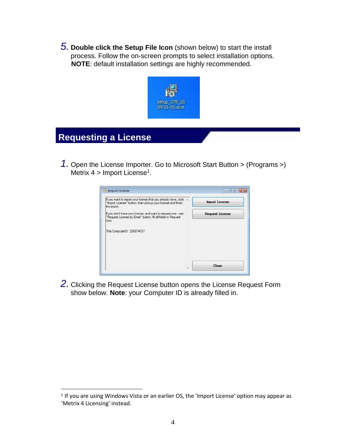*5.* **Double click the Setup File Icon** (shown below) to start the install process. Follow the on-screen prompts to select installation options. **NOTE**: default installation settings are highly recommended.



### **Requesting a License**

 $\overline{a}$ 

*1.* Open the License Importer. Go to Microsoft Start Button > (Programs >) Metrix  $4 >$  Import License<sup>1</sup>.



*2.* Clicking the Request License button opens the License Request Form show below. **Note**: your Computer ID is already filled in.

<sup>&</sup>lt;sup>1</sup> If you are using Windows Vista or an earlier OS, the 'Import License' option may appear as 'Metrix 4 Licensing' instead.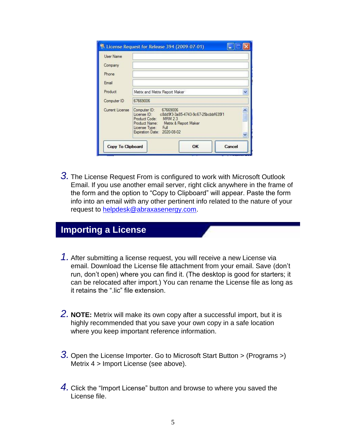| <b>User Name</b> |                                                                                                                                                                                                  |
|------------------|--------------------------------------------------------------------------------------------------------------------------------------------------------------------------------------------------|
| Company          |                                                                                                                                                                                                  |
| Phone            |                                                                                                                                                                                                  |
| Email            |                                                                                                                                                                                                  |
| Product          | Metrix and Metrix Report Maker                                                                                                                                                                   |
| Computer ID      | 67669006                                                                                                                                                                                         |
| Current License  | Computer ID: 67669006<br>License ID: c8dd9f3-3a85-4743-9c67-25bcbbf635f1<br>Product Code: MRM 2.3<br>Product Name:<br>Metrix & Report Maker<br>License Type: Full<br>Expiration Date: 2020-08-02 |

*3.* The License Request From is configured to work with Microsoft Outlook Email. If you use another email server, right click anywhere in the frame of the form and the option to "Copy to Clipboard" will appear. Paste the form info into an email with any other pertinent info related to the nature of your request to helpdesk@abraxasenergy.com.

#### **Importing a License**

- *1.* After submitting a license request, you will receive a new License via email. Download the License file attachment from your email. Save (don't run, don't open) where you can find it. (The desktop is good for starters; it can be relocated after import.) You can rename the License file as long as it retains the ".lic" file extension.
- *2.* **NOTE:** Metrix will make its own copy after a successful import, but it is highly recommended that you save your own copy in a safe location where you keep important reference information.
- *3.* Open the License Importer. Go to Microsoft Start Button > (Programs >) Metrix 4 > Import License (see above).
- *4.* Click the "Import License" button and browse to where you saved the License file.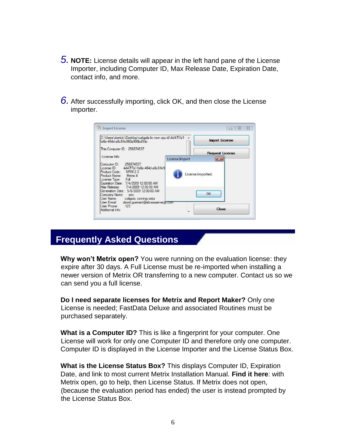- *5.* **NOTE:** License details will appear in the left hand pane of the License Importer, including Computer ID, Max Release Date, Expiration Date, contact info, and more.
- *6.* After successfully importing, click OK, and then close the License importer.

| fa6e-464d-a6c8-fe960a906bd9 lic                                                                                                                                                                                              | D:\Users\derrick\Desktop\caligula lic new cpu id\4d47f7a1- A | <b>Import License</b>                  |
|------------------------------------------------------------------------------------------------------------------------------------------------------------------------------------------------------------------------------|--------------------------------------------------------------|----------------------------------------|
| This Computer ID: 256874537                                                                                                                                                                                                  |                                                              |                                        |
| -License Info                                                                                                                                                                                                                | License Import                                               | <b>Request License</b><br>$\mathbf{z}$ |
| 256874537<br>Computer ID:<br>License ID: 4d47f7a1fa6e-464d-a6c8fe9<br>Product Code: MRM 2.3<br>Metrix 4<br>Product Name:<br>License Type: Full<br>Expiration Date: 7/4/2009 12:00:00 AM<br>Max Release: 7/4/2009 12:00:00 AM | License imported.                                            |                                        |
| Generation Date: 5/6/2009 12:00:00 AM<br>Company Name: aec<br>User Name:<br>caligula, running vista                                                                                                                          |                                                              | OK                                     |
| User E-mail: david.querrant@abraxasenergy.com                                                                                                                                                                                |                                                              |                                        |

#### **Frequently Asked Questions**

**Why won't Metrix open?** You were running on the evaluation license: they expire after 30 days. A Full License must be re-imported when installing a newer version of Metrix OR transferring to a new computer. Contact us so we can send you a full license.

**Do I need separate licenses for Metrix and Report Maker?** Only one License is needed; FastData Deluxe and associated Routines must be purchased separately.

**What is a Computer ID?** This is like a fingerprint for your computer. One License will work for only one Computer ID and therefore only one computer. Computer ID is displayed in the License Importer and the License Status Box.

**What is the License Status Box?** This displays Computer ID, Expiration Date, and link to most current Metrix Installation Manual. **Find it here**: with Metrix open, go to help, then License Status. If Metrix does not open, (because the evaluation period has ended) the user is instead prompted by the License Status Box.